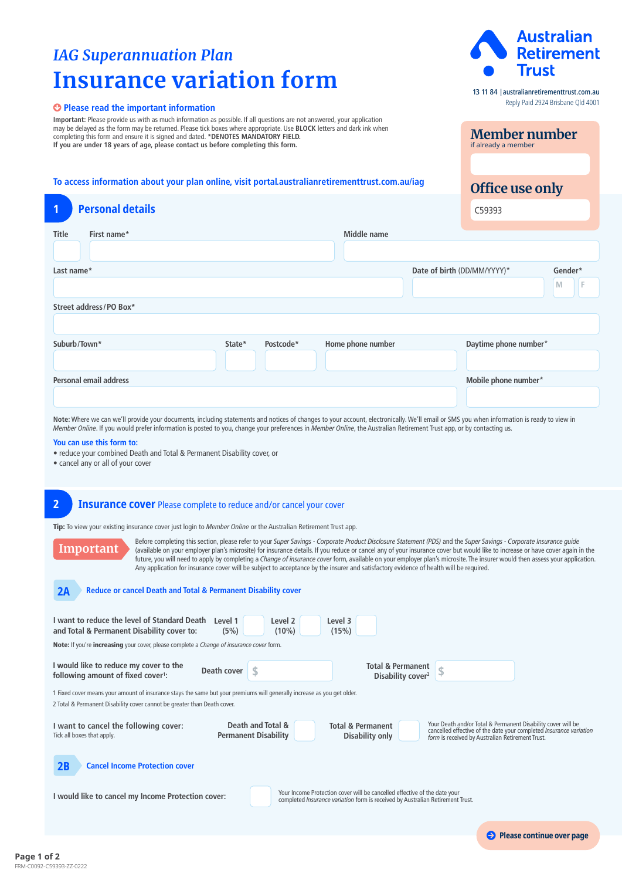# *IAG Superannuation Plan* **Insurance variation form**

## **Please read the important information**

**Important:** Please provide us with as much information as possible. If all questions are not answered, your application may be delayed as the form may be returned. Please tick boxes where appropriate. Use **BLOCK** letters and dark ink when completing this form and ensure it is signed and dated. **\*DENOTES MANDATORY FIELD. If you are under 18 years of age, please contact us before completing this form.**

## **To access information about your plan online, visit [portal.australianretirementtrust.com.au/iag](https://www.portal.australianretirementtrust.com.au/iag?utm_source=document&utm_medium=pdf&utm_campaign=pds_and_guides)**

| $\overline{\mathbf{1}}$       | <b>Personal details</b> |        |           |                   |                             | C59393                |         |   |  |
|-------------------------------|-------------------------|--------|-----------|-------------------|-----------------------------|-----------------------|---------|---|--|
| <b>Title</b>                  | First name*             |        |           | Middle name       |                             |                       |         |   |  |
|                               | Last name*              |        |           |                   | Date of birth (DD/MM/YYYY)* |                       | Gender* |   |  |
|                               |                         |        |           |                   |                             |                       | M       | F |  |
| Street address/PO Box*        |                         |        |           |                   |                             |                       |         |   |  |
|                               |                         |        |           |                   |                             |                       |         |   |  |
| Suburb/Town*                  |                         | State* | Postcode* | Home phone number |                             | Daytime phone number* |         |   |  |
|                               |                         |        |           |                   |                             |                       |         |   |  |
| <b>Personal email address</b> |                         |        |           |                   |                             | Mobile phone number*  |         |   |  |
|                               |                         |        |           |                   |                             |                       |         |   |  |

**Note:** Where we can we'll provide your documents, including statements and notices of changes to your account, electronically. We'll email or SMS you when information is ready to view in *Member Online*. If you would prefer information is posted to you, change your preferences in *Member Online*, the Australian Retirement Trust app, or by contacting us.

**You can use this form to:**

• reduce your combined Death and Total & Permanent Disability cover, or

• cancel any or all of your cover

## **2 Insurance cover** Please complete to reduce and/or cancel your cover

Tip: To view your existing insurance cover just login to *Member Online* or the Australian Retirement Trust app.

**Important** Before completing this section, please refer to your *Super Savings - Corporate Product Disclosure Statement (PDS)* and the *Super Savings - Corporate Insurance guide* (available on your employer plan's microsite) for insurance details. If you reduce or cancel any of your insurance cover but would like to increase or have cover again in the future, you will need to apply by completing a *Change of insurance cover* form, available on your employer plan's microsite. The insurer would then assess your application. Any application for insurance cover will be subject to acceptance by the insurer and satisfactory evidence of health will be required.

#### **2A Reduce or cancel Death and Total & Permanent Disability cover**

| I want to reduce the level of Standard Death<br>Level 1<br>Level 2<br>Level 3<br>and Total & Permanent Disability cover to:<br>(5%)<br>$(10\%)$<br>(15%)<br><b>Note:</b> If you're <b>increasing</b> your cover, please complete a <i>Change of insurance cover</i> form. |                                                                                                                                                                                                                                                                                               |  |  |  |  |  |  |  |
|---------------------------------------------------------------------------------------------------------------------------------------------------------------------------------------------------------------------------------------------------------------------------|-----------------------------------------------------------------------------------------------------------------------------------------------------------------------------------------------------------------------------------------------------------------------------------------------|--|--|--|--|--|--|--|
| I would like to reduce my cover to the<br>Death cover<br>following amount of fixed cover <sup>1</sup> :                                                                                                                                                                   | <b>Total &amp; Permanent</b><br>Disability cover <sup>2</sup>                                                                                                                                                                                                                                 |  |  |  |  |  |  |  |
| 1 Fixed cover means your amount of insurance stays the same but your premiums will generally increase as you get older.<br>2 Total & Permanent Disability cover cannot be greater than Death cover.                                                                       |                                                                                                                                                                                                                                                                                               |  |  |  |  |  |  |  |
| I want to cancel the following cover:<br>Tick all boxes that apply.                                                                                                                                                                                                       | Your Death and/or Total & Permanent Disability cover will be<br>Death and Total &<br><b>Total &amp; Permanent</b><br>cancelled effective of the date your completed Insurance variation<br><b>Permanent Disability</b><br>Disability only<br>form is received by Australian Retirement Trust. |  |  |  |  |  |  |  |
| 2B<br><b>Cancel Income Protection cover</b>                                                                                                                                                                                                                               |                                                                                                                                                                                                                                                                                               |  |  |  |  |  |  |  |
| Your Income Protection cover will be cancelled effective of the date your<br>I would like to cancel my Income Protection cover:<br>completed <i>Insurance variation</i> form is received by Australian Retirement Trust.                                                  |                                                                                                                                                                                                                                                                                               |  |  |  |  |  |  |  |



13 11 84 |[australianretirementtrust.com.au](https://www.australianretirementtrust.com.au/?utm_source=document&utm_medium=pdf&utm_campaign=pds_and_guides) Reply Paid 2924 Brisbane Qld 4001

**Member number**

**Office use only**

**Please continue over page** 

if already a member